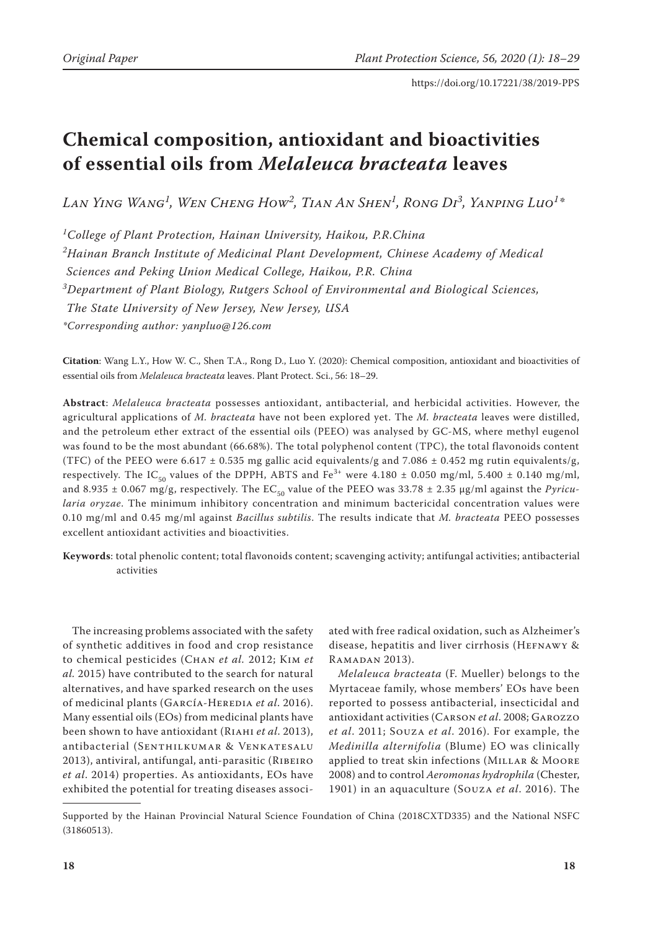# **Chemical composition, antioxidant and bioactivities of essential oils from** *Melaleuca bracteata* **leaves**

*Lan Ying Wang<sup>1</sup> , Wen Cheng How<sup>2</sup> , Tian An Shen<sup>1</sup> , Rong Di<sup>3</sup> , Yanping Luo<sup>1</sup> \**

*1 College of Plant Protection, Hainan University, Haikou, P.R.China* 

*2 Hainan Branch Institute of Medicinal Plant Development, Chinese Academy of Medical* 

 *Sciences and Peking Union Medical College, Haikou, P.R. China*

*3 Department of Plant Biology, Rutgers School of Environmental and Biological Sciences,*

 *The State University of New Jersey, New Jersey, USA*

*\*Corresponding author: yanpluo@126.com*

**Citation**: Wang L.Y., How W. C., Shen T.A., Rong D., Luo Y. (2020): Chemical composition, antioxidant and bioactivities of essential oils from *Melaleuca bracteata* leaves. Plant Protect. Sci., 56: 18–29.

**Abstract**: *Melaleuca bracteata* possesses antioxidant, antibacterial, and herbicidal activities. However, the agricultural applications of *M. bracteata* have not been explored yet. The *M. bracteata* leaves were distilled, and the petroleum ether extract of the essential oils (PEEO) was analysed by GC-MS, where methyl eugenol was found to be the most abundant (66.68%). The total polyphenol content (TPC), the total flavonoids content (TFC) of the PEEO were 6.617  $\pm$  0.535 mg gallic acid equivalents/g and 7.086  $\pm$  0.452 mg rutin equivalents/g, respectively. The IC<sub>50</sub> values of the DPPH, ABTS and Fe<sup>3+</sup> were 4.180  $\pm$  0.050 mg/ml, 5.400  $\pm$  0.140 mg/ml, and 8.935  $\pm$  0.067 mg/g, respectively. The EC<sub>50</sub> value of the PEEO was 33.78  $\pm$  2.35 µg/ml against the *Pyricularia oryzae*. The minimum inhibitory concentration and minimum bactericidal concentration values were 0.10 mg/ml and 0.45 mg/ml against *Bacillus subtilis*. The results indicate that *M. bracteata* PEEO possesses excellent antioxidant activities and bioactivities.

**Keywords**: total phenolic content; total flavonoids content; scavenging activity; antifungal activities; antibacterial activities

The increasing problems associated with the safety of synthetic additives in food and crop resistance to chemical pesticides (Chan *et al.* 2012; Kim *et al.* 2015) have contributed to the search for natural alternatives, and have sparked research on the uses of medicinal plants (García-Heredia *et al*. 2016). Many essential oils (EOs) from medicinal plants have been shown to have antioxidant (Riahi *et al*. 2013), antibacterial (SENTHILKUMAR & VENKATESALU 2013), antiviral, antifungal, anti-parasitic (Ribeiro *et al*. 2014) properties. As antioxidants, EOs have exhibited the potential for treating diseases associ-

ated with free radical oxidation, such as Alzheimer's disease, hepatitis and liver cirrhosis (Hefnawy & Ramadan 2013).

*Melaleuca bracteata* (F. Mueller) belongs to the Myrtaceae family, whose members' EOs have been reported to possess antibacterial, insecticidal and antioxidant activities (Carson *et al*. 2008; Garozzo *et al*. 2011; Souza *et al*. 2016). For example, the *Medinilla alternifolia* (Blume) EO was clinically applied to treat skin infections (MILLAR & MOORE 2008) and to control *Aeromonas hydrophila* (Chester, 1901) in an aquaculture (Souza *et al*. 2016). The

Supported by the Hainan Provincial Natural Science Foundation of China (2018CXTD335) and the National NSFC (31860513).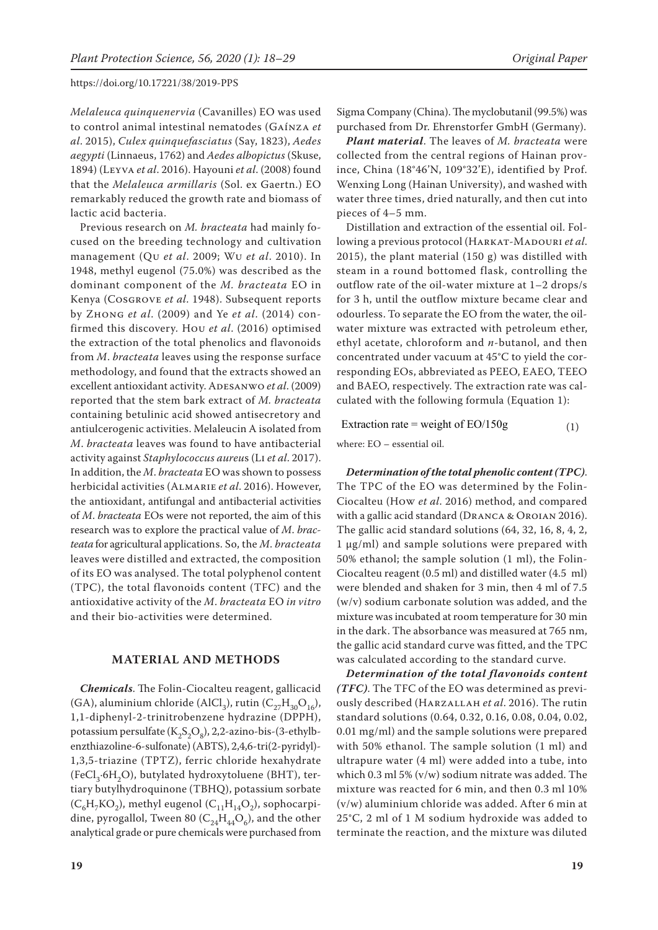*Melaleuca quinquenervia* (Cavanilles) EO was used to control animal intestinal nematodes (Gaínza *et al*. 2015), *Culex quinquefasciatus* (Say, 1823), *Aedes aegypti* (Linnaeus, 1762) and *Aedes albopictus* (Skuse, 1894) (Leyva *et al*. 2016). Hayouni *et al*. (2008) found that the *Melaleuca armillaris* (Sol. ex Gaertn.) EO remarkably reduced the growth rate and biomass of lactic acid bacteria.

Previous research on *M. bracteata* had mainly focused on the breeding technology and cultivation management (Qu *et al*. 2009; Wu *et al*. 2010). In 1948, methyl eugenol (75.0%) was described as the dominant component of the *M. bracteata* EO in Kenya (Cosgrove *et al*. 1948). Subsequent reports by Zhong *et al*. (2009) and Ye *et al*. (2014) confirmed this discovery*.* Hou *et al*. (2016) optimised the extraction of the total phenolics and flavonoids from *M*. *bracteata* leaves using the response surface methodology, and found that the extracts showed an excellent antioxidant activity. ADESANWO *et al.* (2009) reported that the stem bark extract of *M. bracteata* containing betulinic acid showed antisecretory and antiulcerogenic activities. Melaleucin A isolated from *M*. *bracteata* leaves was found to have antibacterial activity against *Staphylococcus aureu*s (Li *et al*. 2017). In addition, the *M*. *bracteata* EO was shown to possess herbicidal activities (Almarie *et al*. 2016). However, the antioxidant, antifungal and antibacterial activities of *M*. *bracteata* EOs were not reported, the aim of this research was to explore the practical value of *M*. *bracteata* for agricultural applications. So, the *M*. *bracteata* leaves were distilled and extracted, the composition of its EO was analysed. The total polyphenol content (TPC), the total flavonoids content (TFC) and the antioxidative activity of the *M*. *bracteata* EO *in vitro* and their bio-activities were determined.

# **MATERIAL AND METHODS**

*Chemicals*. The Folin-Ciocalteu reagent, gallicacid (GA), aluminium chloride (AlCl<sub>3</sub>), rutin (C<sub>27</sub>H<sub>30</sub>O<sub>16</sub>), 1,1-diphenyl-2-trinitrobenzene hydrazine (DPPH), potassium persulfate  $(K_2S_2O_8)$ , 2,2-azino-bis-(3-ethylbenzthiazoline-6-sulfonate) (ABTS), 2,4,6-tri(2-pyridyl)- 1,3,5-triazine (TPTZ), ferric chloride hexahydrate (FeCl<sub>2</sub>·6H<sub>2</sub>O), butylated hydroxytoluene (BHT), tertiary butylhydroquinone (TBHQ), potassium sorbate  $(C_6H_7KO_2)$ , methyl eugenol  $(C_{11}H_{14}O_2)$ , sophocarpidine, pyrogallol, Tween 80 ( $C_{24}H_{44}O_6$ ), and the other analytical grade or pure chemicals were purchased from Sigma Company (China). The myclobutanil (99.5%) was purchased from Dr. Ehrenstorfer GmbH (Germany).

*Plant material*. The leaves of *M. bracteata* were collected from the central regions of Hainan province, China (18°46'N, 109°32'E), identified by Prof. Wenxing Long (Hainan University), and washed with water three times, dried naturally, and then cut into pieces of 4–5 mm.

Distillation and extraction of the essential oil. Following a previous protocol (HARKAT-MADOURI *et al.* 2015), the plant material (150 g) was distilled with steam in a round bottomed flask, controlling the outflow rate of the oil-water mixture at 1–2 drops/s for 3 h, until the outflow mixture became clear and odourless. To separate the EO from the water, the oilwater mixture was extracted with petroleum ether, ethyl acetate, chloroform and *n*-butanol, and then concentrated under vacuum at 45°C to yield the corresponding EOs, abbreviated as PEEO, EAEO, TEEO and BAEO, respectively. The extraction rate was calculated with the following formula (Equation 1):

Extraction rate = weight of  $EO/150g$  (1)

where: EO – essential oil.

*Determination of the total phenolic content (TPC)*. The TPC of the EO was determined by the Folin-Ciocalteu (How *et al*. 2016) method, and compared with a gallic acid standard (Dranca & Oroian 2016). The gallic acid standard solutions (64, 32, 16, 8, 4, 2, 1 µg/ml) and sample solutions were prepared with 50% ethanol; the sample solution (1 ml), the Folin-Ciocalteu reagent (0.5 ml) and distilled water (4.5 ml) were blended and shaken for 3 min, then 4 ml of 7.5 (w/v) sodium carbonate solution was added, and the mixture was incubated at room temperature for 30 min in the dark. The absorbance was measured at 765 nm, the gallic acid standard curve was fitted, and the TPC was calculated according to the standard curve.

*Determination of the total flavonoids content (TFC)*. The TFC of the EO was determined as previously described (Harzallah *et al*. 2016). The rutin standard solutions (0.64, 0.32, 0.16, 0.08, 0.04, 0.02, 0.01 mg/ml) and the sample solutions were prepared with 50% ethanol. The sample solution (1 ml) and ultrapure water (4 ml) were added into a tube, into which 0.3 ml 5% (v/w) sodium nitrate was added. The mixture was reacted for 6 min, and then 0.3 ml 10% (v/w) aluminium chloride was added. After 6 min at 25°C, 2 ml of 1 M sodium hydroxide was added to terminate the reaction, and the mixture was diluted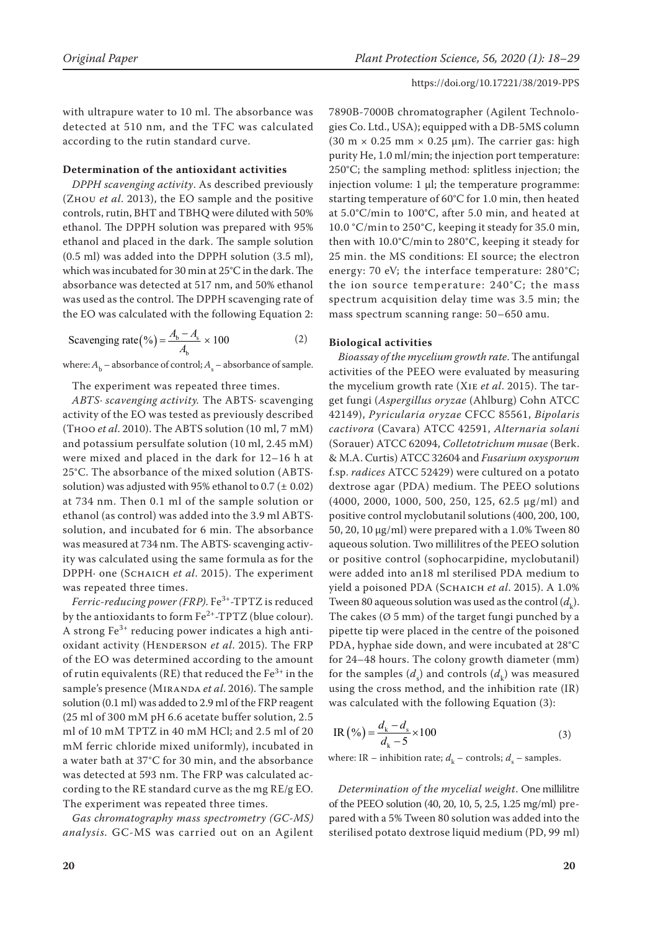with ultrapure water to 10 ml. The absorbance was detected at 510 nm, and the TFC was calculated according to the rutin standard curve.

# **Determination of the antioxidant activities**

*DPPH scavenging activity*. As described previously (Zhou *et al*. 2013), the EO sample and the positive controls, rutin, BHT and TBHQ were diluted with 50% ethanol. The DPPH solution was prepared with 95% ethanol and placed in the dark. The sample solution (0.5 ml) was added into the DPPH solution (3.5 ml), which was incubated for 30 min at 25°C in the dark. The absorbance was detected at 517 nm, and 50% ethanol was used as the control. The DPPH scavenging rate of the EO was calculated with the following Equation 2:

Scavenging rate 
$$
\left(\frac{\%}{\)}\right) = \frac{A_b - A_s}{A_b} \times 100
$$
 (2)

where:  $A^{}_{\rm b}$  – absorbance of control;  $A^{}_{\rm s}$  – absorbance of sample.

The experiment was repeated three times.

*ABTS· scavenging activity.* The ABTS· scavenging activity of the EO was tested as previously described (Thoo *et al*. 2010). The ABTS solution (10 ml, 7 mM) and potassium persulfate solution (10 ml, 2.45 mM) were mixed and placed in the dark for 12–16 h at 25°C. The absorbance of the mixed solution (ABTS· solution) was adjusted with 95% ethanol to  $0.7 (\pm 0.02)$ at 734 nm. Then 0.1 ml of the sample solution or ethanol (as control) was added into the 3.9 ml ABTS· solution, and incubated for 6 min. The absorbance was measured at 734 nm. The ABTS· scavenging activity was calculated using the same formula as for the DPPH· one (Schaich *et al*. 2015). The experiment was repeated three times.

*Ferric-reducing power (FRP)*. Fe<sup>3+</sup>-TPTZ is reduced by the antioxidants to form  $Fe^{2+}$ -TPTZ (blue colour). A strong  $Fe^{3+}$  reducing power indicates a high antioxidant activity (HENDERSON et al. 2015). The FRP of the EO was determined according to the amount of rutin equivalents (RE) that reduced the  $Fe<sup>3+</sup>$  in the sample's presence (MIRANDA *et al.* 2016). The sample solution (0.1 ml) was added to 2.9 ml of the FRP reagent (25 ml of 300 mM pH 6.6 acetate buffer solution, 2.5 ml of 10 mM TPTZ in 40 mM HCl; and 2.5 ml of 20 mM ferric chloride mixed uniformly), incubated in a water bath at 37°C for 30 min, and the absorbance was detected at 593 nm. The FRP was calculated according to the RE standard curve as the mg RE/g EO. The experiment was repeated three times.

*Gas chromatography mass spectrometry (GC-MS) analysis.* GC-MS was carried out on an Agilent 7890B-7000B chromatographer (Agilent Technologies Co. Ltd., USA); equipped with a DB-5MS column (30 m  $\times$  0.25 mm  $\times$  0.25 µm). The carrier gas: high purity He, 1.0 ml/min; the injection port temperature: 250°C; the sampling method: splitless injection; the injection volume: 1 μl; the temperature programme: starting temperature of 60°C for 1.0 min, then heated at 5.0°C/min to 100°C, after 5.0 min, and heated at 10.0 °C/min to 250°C, keeping it steady for 35.0 min, then with 10.0°C/min to 280°C, keeping it steady for 25 min. the MS conditions: EI source; the electron energy: 70 eV; the interface temperature: 280°C; the ion source temperature: 240°C; the mass spectrum acquisition delay time was 3.5 min; the mass spectrum scanning range: 50–650 amu.

# **Biological activities**

*Bioassay of the mycelium growth rate*. The antifungal activities of the PEEO were evaluated by measuring the mycelium growth rate (Xie *et al*. 2015). The target fungi (*Aspergillus oryzae* (Ahlburg) Cohn ATCC 42149), *Pyricularia oryzae* CFCC 85561, *Bipolaris cactivora* (Cavara) ATCC 42591, *Alternaria solani* (Sorauer) ATCC 62094, *Colletotrichum musae* (Berk. & M.A. Curtis) ATCC 32604 and *Fusarium oxysporum* f.sp. *radices* ATCC 52429) were cultured on a potato dextrose agar (PDA) medium. The PEEO solutions (4000, 2000, 1000, 500, 250, 125, 62.5 μg/ml) and positive control myclobutanil solutions (400, 200, 100, 50, 20, 10 μg/ml) were prepared with a 1.0% Tween 80 aqueous solution. Two millilitres of the PEEO solution or positive control (sophocarpidine, myclobutanil) were added into an18 ml sterilised PDA medium to yield a poisoned PDA (Schaich *et al*. 2015). A 1.0% Tween 80 aqueous solution was used as the control  $(d_1)$ . The cakes ( $\varnothing$  5 mm) of the target fungi punched by a pipette tip were placed in the centre of the poisoned PDA, hyphae side down, and were incubated at 28°C for 24–48 hours. The colony growth diameter (mm) for the samples  $(d_{\rm s})$  and controls  $(d_{\rm k})$  was measured using the cross method, and the inhibition rate (IR) was calculated with the following Equation (3):

$$
IR\left(\frac{\%}{d_k} - \frac{d_s}{d_k} \times 100\right) = \frac{d_k - d_s}{d_k - 5} \times 100\tag{3}
$$

where: IR – inhibition rate;  $d_{\rm k}$  – controls;  $d_{\rm s}$  – samples.

*Determination of the mycelial weight*. One millilitre of the PEEO solution (40, 20, 10, 5, 2.5, 1.25 mg/ml) prepared with a 5% Tween 80 solution was added into the sterilised potato dextrose liquid medium (PD, 99 ml)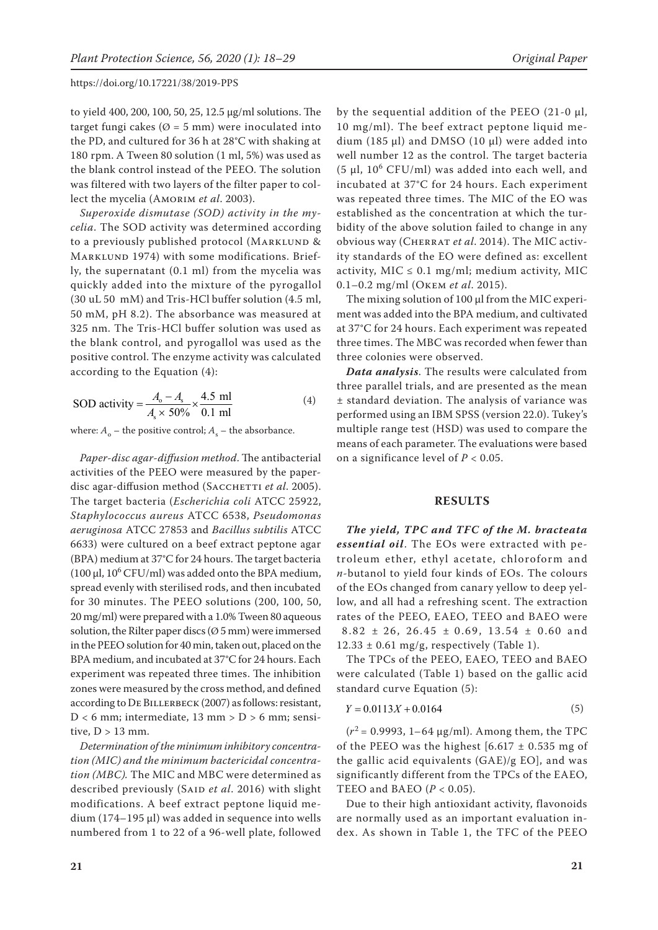to yield 400, 200, 100, 50, 25, 12.5 µg/ml solutions. The target fungi cakes ( $\varnothing$  = 5 mm) were inoculated into the PD, and cultured for 36 h at 28°C with shaking at 180 rpm. A Tween 80 solution (1 ml, 5%) was used as the blank control instead of the PEEO. The solution was filtered with two layers of the filter paper to collect the mycelia (Amorim *et al*. 2003).

*Superoxide dismutase (SOD) activity in the mycelia*. The SOD activity was determined according to a previously published protocol (MARKLUND & MARKLUND 1974) with some modifications. Briefly, the supernatant (0.1 ml) from the mycelia was quickly added into the mixture of the pyrogallol (30 uL 50 mM) and Tris-HCl buffer solution (4.5 ml, 50 mM, pH 8.2). The absorbance was measured at 325 nm. The Tris-HCl buffer solution was used as the blank control, and pyrogallol was used as the positive control. The enzyme activity was calculated according to the Equation (4):

SOD activity = 
$$
\frac{A_o - A_s}{A_s \times 50\%} \times \frac{4.5 \text{ ml}}{0.1 \text{ ml}}
$$
 (4)

where:  $A_{_{0}}$  – the positive control;  $A_{_{\rm S}}$  – the absorbance.

*Paper-disc agar-diffusion method*. The antibacterial activities of the PEEO were measured by the paperdisc agar-diffusion method (SACCHETTI et al. 2005). The target bacteria (*Escherichia coli* ATCC 25922, *Staphylococcus aureus* ATCC 6538, *Pseudomonas aeruginosa* ATCC 27853 and *Bacillus subtilis* ATCC 6633) were cultured on a beef extract peptone agar (BPA) medium at 37°C for 24 hours. The target bacteria (100  $\mu$ l, 10<sup>6</sup> CFU/ml) was added onto the BPA medium, spread evenly with sterilised rods, and then incubated for 30 minutes. The PEEO solutions (200, 100, 50, 20 mg/ml) were prepared with a 1.0% Tween 80 aqueous solution, the Rilter paper discs ( $\varnothing$  5 mm) were immersed in the PEEO solution for 40 min, taken out, placed on the BPA medium, and incubated at 37°C for 24 hours. Each experiment was repeated three times. The inhibition zones were measured by the cross method, and defined according to DE BILLERBECK (2007) as follows: resistant,  $D < 6$  mm; intermediate, 13 mm >  $D > 6$  mm; sensitive,  $D > 13$  mm.

*Determination of the minimum inhibitory concentration (MIC) and the minimum bactericidal concentration (MBC).* The MIC and MBC were determined as described previously (SAID et al. 2016) with slight modifications. A beef extract peptone liquid medium (174–195 μl) was added in sequence into wells numbered from 1 to 22 of a 96-well plate, followed

by the sequential addition of the PEEO (21-0 μl, 10 mg/ml). The beef extract peptone liquid medium (185 μl) and DMSO (10 μl) were added into well number 12 as the control. The target bacteria (5  $\mu$ l, 10<sup>6</sup> CFU/ml) was added into each well, and incubated at 37°C for 24 hours. Each experiment was repeated three times. The MIC of the EO was established as the concentration at which the turbidity of the above solution failed to change in any obvious way (Cherrat *et al*. 2014). The MIC activity standards of the EO were defined as: excellent activity,  $MIC \leq 0.1$  mg/ml; medium activity, MIC 0.1–0.2 mg/ml (Okem *et al*. 2015).

The mixing solution of 100 μl from the MIC experiment was added into the BPA medium, and cultivated at 37°C for 24 hours. Each experiment was repeated three times. The MBC was recorded when fewer than three colonies were observed.

*Data analysis*. The results were calculated from three parallel trials, and are presented as the mean ± standard deviation. The analysis of variance was performed using an IBM SPSS (version 22.0). Tukey's multiple range test (HSD) was used to compare the means of each parameter. The evaluations were based on a significance level of *P* < 0.05.

#### **RESULTS**

*The yield, TPC and TFC of the M. bracteata essential oil*. The EOs were extracted with petroleum ether, ethyl acetate, chloroform and *n*-butanol to yield four kinds of EOs. The colours of the EOs changed from canary yellow to deep yellow, and all had a refreshing scent. The extraction rates of the PEEO, EAEO, TEEO and BAEO were  $8.82 \pm 26$ ,  $26.45 \pm 0.69$ ,  $13.54 \pm 0.60$  and  $12.33 \pm 0.61$  mg/g, respectively (Table 1).

The TPCs of the PEEO, EAEO, TEEO and BAEO were calculated (Table 1) based on the gallic acid standard curve Equation (5):

$$
Y = 0.0113X + 0.0164\tag{5}
$$

 $(r^2 = 0.9993, 1 - 64 \mu g/ml)$ . Among them, the TPC of the PEEO was the highest  $[6.617 \pm 0.535$  mg of the gallic acid equivalents (GAE)/g EO], and was significantly different from the TPCs of the EAEO, TEEO and BAEO (*P* < 0.05).

Due to their high antioxidant activity, flavonoids are normally used as an important evaluation index. As shown in Table 1, the TFC of the PEEO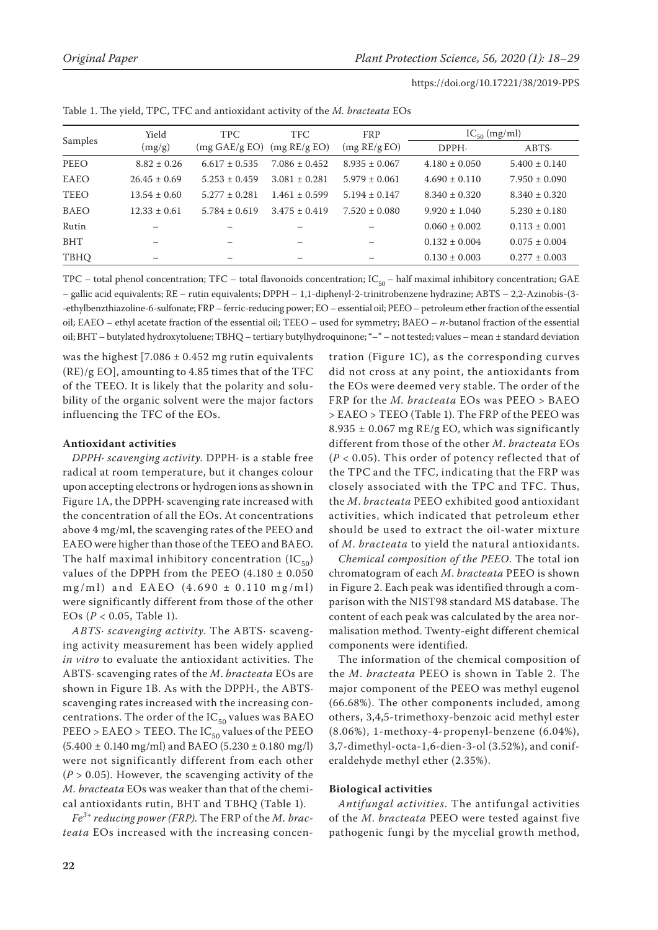| Samples     | Yield            | <b>TPC</b>        | <b>TFC</b>           | <b>FRP</b>           | $IC_{50}$ (mg/ml) |                   |
|-------------|------------------|-------------------|----------------------|----------------------|-------------------|-------------------|
|             | (mg/g)           | (mg GAE/g EO)     | $(mg \, RE/g \, EO)$ | $(mg \, RE/g \, EO)$ | DPPH.             | ABTS.             |
| PEEO        | $8.82 \pm 0.26$  | $6.617 \pm 0.535$ | $7.086 \pm 0.452$    | $8.935 \pm 0.067$    | $4.180 \pm 0.050$ | $5.400 \pm 0.140$ |
| EAEO        | $26.45 \pm 0.69$ | $5.253 \pm 0.459$ | $3.081 \pm 0.281$    | $5.979 \pm 0.061$    | $4.690 \pm 0.110$ | $7.950 \pm 0.090$ |
| TEEO        | $13.54 \pm 0.60$ | $5.277 \pm 0.281$ | $1.461 \pm 0.599$    | $5.194 \pm 0.147$    | $8.340 \pm 0.320$ | $8.340 \pm 0.320$ |
| <b>BAEO</b> | $12.33 \pm 0.61$ | $5.784 \pm 0.619$ | $3.475 \pm 0.419$    | $7.520 \pm 0.080$    | $9.920 \pm 1.040$ | $5.230 \pm 0.180$ |
| Rutin       |                  |                   |                      |                      | $0.060 \pm 0.002$ | $0.113 \pm 0.001$ |
| <b>BHT</b>  |                  |                   |                      |                      | $0.132 \pm 0.004$ | $0.075 \pm 0.004$ |
| <b>TBHO</b> |                  |                   |                      |                      | $0.130 \pm 0.003$ | $0.277 \pm 0.003$ |

Table 1. The yield, TPC, TFC and antioxidant activity of the *M. bracteata* EOs

TPC – total phenol concentration; TFC – total flavonoids concentration;  $IC_{50}$  – half maximal inhibitory concentration; GAE – gallic acid equivalents; RE – rutin equivalents; DPPH – 1,1-diphenyl-2-trinitrobenzene hydrazine; ABTS – 2,2-Azinobis-(3- -ethylbenzthiazoline-6-sulfonate; FRP – ferric-reducing power; EO – essential oil; PEEO – petroleum ether fraction of the essential oil; EAEO – ethyl acetate fraction of the essential oil; TEEO – used for symmetry; BAEO – *n*-butanol fraction of the essential oil; BHT – butylated hydroxytoluene; TBHQ – tertiary butylhydroquinone; "–" – not tested; values – mean ± standard deviation

was the highest  $[7.086 \pm 0.452 \text{ mg}$  rutin equivalents (RE)/g EO], amounting to 4.85 times that of the TFC of the TEEO. It is likely that the polarity and solubility of the organic solvent were the major factors influencing the TFC of the EOs.

#### **Antioxidant activities**

*DPPH· scavenging activity*. DPPH· is a stable free radical at room temperature, but it changes colour upon accepting electrons or hydrogen ions as shown in Figure 1A, the DPPH· scavenging rate increased with the concentration of all the EOs. At concentrations above 4 mg/ml, the scavenging rates of the PEEO and EAEO were higher than those of the TEEO and BAEO. The half maximal inhibitory concentration  $(IC_{50})$ values of the DPPH from the PEEO (4.180 ± 0.050  $mg/ml$ ) and EAEO (4.690  $\pm$  0.110 mg/ml) were significantly different from those of the other EOs (*P* < 0.05, Table 1).

*ABTS· scavenging activity*. The ABTS· scavenging activity measurement has been widely applied *in vitro* to evaluate the antioxidant activities. The ABTS· scavenging rates of the *M*. *bracteata* EOs are shown in Figure 1B. As with the DPPH·, the ABTS· scavenging rates increased with the increasing concentrations. The order of the  $IC_{50}$  values was BAEO  $PEEO > EABO > TEEO$ . The  $IC_{50}$  values of the PEEO  $(5.400 \pm 0.140 \text{ mg/ml})$  and BAEO  $(5.230 \pm 0.180 \text{ mg/l})$ were not significantly different from each other  $(P > 0.05)$ . However, the scavenging activity of the *M*. *bracteata* EOs was weaker than that of the chemical antioxidants rutin, BHT and TBHQ (Table 1).

*Fe3+ reducing power (FRP)*. The FRP of the *M*. *bracteata* EOs increased with the increasing concentration (Figure 1C), as the corresponding curves did not cross at any point, the antioxidants from the EOs were deemed very stable. The order of the FRP for the *M. bracteata* EOs was PEEO > BAEO > EAEO > TEEO (Table 1). The FRP of the PEEO was  $8.935 \pm 0.067$  mg RE/g EO, which was significantly different from those of the other *M*. *bracteata* EOs (*P* < 0.05). This order of potency reflected that of the TPC and the TFC, indicating that the FRP was closely associated with the TPC and TFC. Thus, the *M*. *bracteata* PEEO exhibited good antioxidant activities, which indicated that petroleum ether should be used to extract the oil-water mixture of *M*. *bracteata* to yield the natural antioxidants.

*Chemical composition of the PEEO*. The total ion chromatogram of each *M*. *bracteata* PEEO is shown in Figure 2. Each peak was identified through a comparison with the NIST98 standard MS database. The content of each peak was calculated by the area normalisation method. Twenty-eight different chemical components were identified.

The information of the chemical composition of the *M*. *bracteata* PEEO is shown in Table 2. The major component of the PEEO was methyl eugenol (66.68%). The other components included, among others, 3,4,5-trimethoxy-benzoic acid methyl ester (8.06%), 1-methoxy-4-propenyl-benzene (6.04%), 3,7-dimethyl-octa-1,6-dien-3-ol (3.52%), and coniferaldehyde methyl ether (2.35%).

## **Biological activities**

*Antifungal activities*. The antifungal activities of the *M*. *bracteata* PEEO were tested against five pathogenic fungi by the mycelial growth method,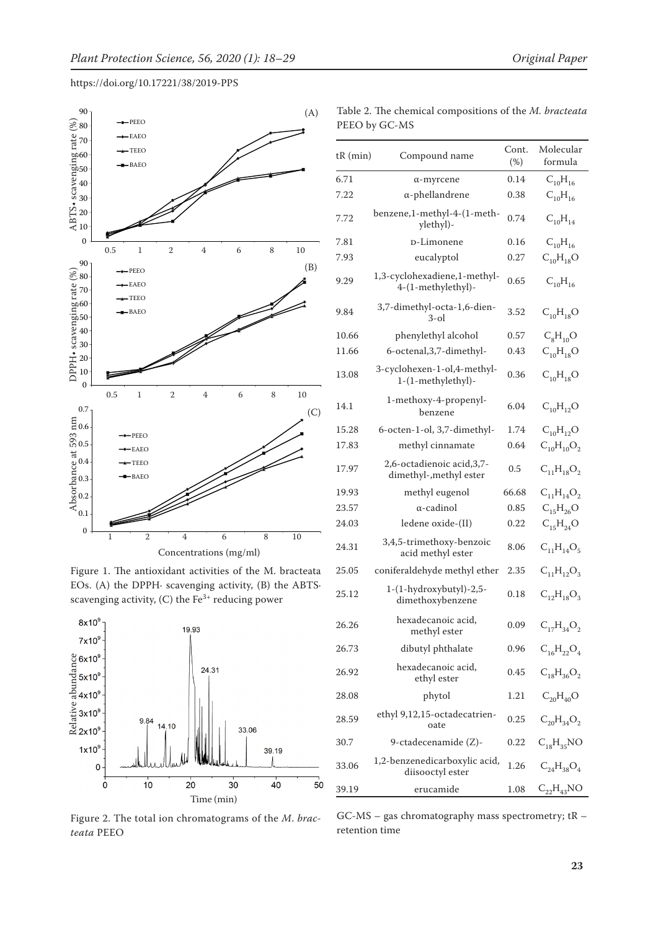

Figure 1. The antioxidant activities of the M. bracteata EOs. (A) the DPPH· scavenging activity, (B) the ABTS· scavenging activity,  $(C)$  the Fe<sup>3+</sup> reducing power



Figure 2. The total ion chromatograms of the *M*. *bracteata* PEEO

| Table 2. The chemical compositions of the <i>M. bracteata</i> |  |  |
|---------------------------------------------------------------|--|--|
| PEEO by GC-MS                                                 |  |  |

| tR (min) | Compound name                                        | Cont.<br>(%) | Molecular<br>formula |
|----------|------------------------------------------------------|--------------|----------------------|
| 6.71     | α-myrcene                                            | 0.14         | $C_{10}H_{16}$       |
| 7.22     | α-phellandrene                                       | 0.38         | $C_{10}H_{16}$       |
| 7.72     | -benzene,1-methyl-4-(1-meth<br>ylethyl)-             | 0.74         | $C_{10}H_{14}$       |
| 7.81     | <b>D-Limonene</b>                                    | 0.16         | $C_{10}H_{16}$       |
| 7.93     | eucalyptol                                           | 0.27         | $C_{10}H_{18}O$      |
| 9.29     | 1,3-cyclohexadiene,1-methyl-<br>4-(1-methylethyl)-   | 0.65         | $C_{10}H_{16}$       |
| 9.84     | 3,7-dimethyl-octa-1,6-dien-<br>3-ol                  | 3.52         | $C_{10}H_{18}O$      |
| 10.66    | phenylethyl alcohol                                  | 0.57         | $C_8H_{10}O$         |
| 11.66    | 6-octenal, 3, 7-dimethyl-                            | 0.43         | $C_{10}H_{18}O$      |
| 13.08    | 3-cyclohexen-1-ol,4-methyl-<br>1-(1-methylethyl)-    | 0.36         | $C_{10}H_{18}O$      |
| 14.1     | 1-methoxy-4-propenyl-<br>benzene                     | 6.04         | $C_{10}H_{12}O$      |
| 15.28    | 6-octen-1-ol, 3,7-dimethyl-                          | 1.74         | $C_{10}H_{12}O$      |
| 17.83    | methyl cinnamate                                     | 0.64         | $C_{10}H_{10}O_2$    |
| 17.97    | 2,6-octadienoic acid,3,7-<br>dimethyl-, methyl ester | 0.5          | $C_{11}H_{18}O_2$    |
| 19.93    | methyl eugenol                                       | 66.68        | $C_{11}H_{14}O_2$    |
| 23.57    | α-cadinol                                            | 0.85         | $C_{15}H_{26}O$      |
| 24.03    | ledene oxide-(II)                                    | 0.22         | $C_{15}H_{24}O$      |
| 24.31    | 3,4,5-trimethoxy-benzoic<br>acid methyl ester        | 8.06         | $C_{11}H_{14}O_5$    |
| 25.05    | coniferaldehyde methyl ether                         | 2.35         | $C_{11}H_{12}O_3$    |
| 25.12    | $1-(1-hydroxybutyl)-2,5-$<br>dimethoxybenzene        | 0.18         | $C_{12}H_{18}O_3$    |
| 26.26    | hexadecanoic acid,<br>methyl ester                   | 0.09         | $C_{17}H_{34}O_2$    |
| 26.73    | dibutyl phthalate                                    | 0.96         | $C_{16}H_{22}O_4$    |
| 26.92    | hexadecanoic acid,<br>ethyl ester                    | 0.45         | $C_{18}H_{36}O_2$    |
| 28.08    | phytol                                               | 1.21         | $C_{20}H_{40}O$      |
| 28.59    | ethyl 9,12,15-octadecatrien-<br>oate                 | 0.25         | $C_{20}H_{34}O_2$    |
| 30.7     | 9-ctadecenamide (Z)-                                 | 0.22         | $C_{18}H_{35}NO$     |
| 33.06    | 1,2-benzenedicarboxylic acid,<br>diisooctyl ester    | 1.26         | $C_{24}H_{38}O_4$    |
| 39.19    | erucamide                                            | 1.08         | $C_{22}H_{43}NO$     |

GC-MS – gas chromatography mass spectrometry; tR – retention time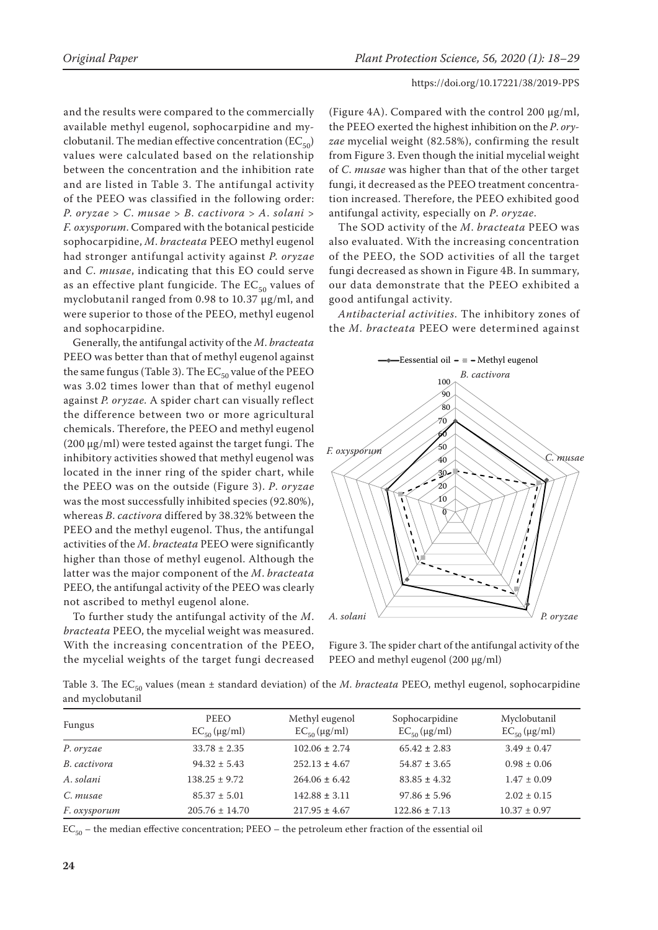and the results were compared to the commercially available methyl eugenol, sophocarpidine and myclobutanil. The median effective concentration  $(EC_{50})$ values were calculated based on the relationship between the concentration and the inhibition rate and are listed in Table 3. The antifungal activity of the PEEO was classified in the following order: *P*. *oryzae* > *C*. *musae* > *B*. *cactivora* > *A*. *solani* > *F*. *oxysporum*. Compared with the botanical pesticide sophocarpidine, *M*. *bracteata* PEEO methyl eugenol had stronger antifungal activity against *P*. *oryzae* and *C*. *musae*, indicating that this EO could serve as an effective plant fungicide. The  $EC_{50}$  values of myclobutanil ranged from 0.98 to 10.37 µg/ml, and were superior to those of the PEEO, methyl eugenol and sophocarpidine.

Generally, the antifungal activity of the *M*. *bracteata* PEEO was better than that of methyl eugenol against the same fungus (Table 3). The  $EC_{50}$  value of the PEEO was 3.02 times lower than that of methyl eugenol against *P. oryzae.* A spider chart can visually reflect the difference between two or more agricultural chemicals. Therefore, the PEEO and methyl eugenol  $(200 \mu g/ml)$  were tested against the target fungi. The inhibitory activities showed that methyl eugenol was located in the inner ring of the spider chart, while the PEEO was on the outside (Figure 3). *P*. *oryzae* was the most successfully inhibited species (92.80%), whereas *B*. *cactivora* differed by 38.32% between the PEEO and the methyl eugenol. Thus, the antifungal activities of the *M*. *bracteata* PEEO were significantly higher than those of methyl eugenol. Although the latter was the major component of the *M*. *bracteata* PEEO, the antifungal activity of the PEEO was clearly not ascribed to methyl eugenol alone.

To further study the antifungal activity of the *M*. *bracteata* PEEO, the mycelial weight was measured. With the increasing concentration of the PEEO, the mycelial weights of the target fungi decreased (Figure 4A). Compared with the control 200 µg/ml, the PEEO exerted the highest inhibition on the *P*. *oryzae* mycelial weight (82.58%), confirming the result from Figure 3. Even though the initial mycelial weight of *C*. *musae* was higher than that of the other target fungi, it decreased as the PEEO treatment concentration increased. Therefore, the PEEO exhibited good antifungal activity, especially on *P*. *oryzae*.

The SOD activity of the *M*. *bracteata* PEEO was also evaluated. With the increasing concentration of the PEEO, the SOD activities of all the target fungi decreased as shown in Figure 4B. In summary, our data demonstrate that the PEEO exhibited a good antifungal activity.

*Antibacterial activities*. The inhibitory zones of the *M*. *bracteata* PEEO were determined against



Figure 3. The spider chart of the antifungal activity of the PEEO and methyl eugenol (200 µg/ml)

Table 3. The EC<sub>50</sub> values (mean ± standard deviation) of the *M. bracteata* PEEO, methyl eugenol, sophocarpidine and myclobutanil

| Fungus       | <b>PEEO</b><br>$EC_{50}$ (µg/ml) | Methyl eugenol<br>$EC_{50}$ (µg/ml) | Sophocarpidine<br>$EC_{50}$ (µg/ml) | Myclobutanil<br>$EC_{50}$ (µg/ml) |
|--------------|----------------------------------|-------------------------------------|-------------------------------------|-----------------------------------|
| P. oryzae    | $33.78 \pm 2.35$                 | $102.06 \pm 2.74$                   | $65.42 \pm 2.83$                    | $3.49 \pm 0.47$                   |
| B. cactivora | $94.32 \pm 5.43$                 | $252.13 \pm 4.67$                   | $54.87 \pm 3.65$                    | $0.98 \pm 0.06$                   |
| A. solani    | $138.25 \pm 9.72$                | $264.06 \pm 6.42$                   | $83.85 \pm 4.32$                    | $1.47 \pm 0.09$                   |
| C. musae     | $85.37 \pm 5.01$                 | $142.88 \pm 3.11$                   | $97.86 \pm 5.96$                    | $2.02 \pm 0.15$                   |
| F. oxysporum | $205.76 \pm 14.70$               | $217.95 \pm 4.67$                   | $122.86 \pm 7.13$                   | $10.37 \pm 0.97$                  |

 $EC_{50}$  – the median effective concentration; PEEO – the petroleum ether fraction of the essential oil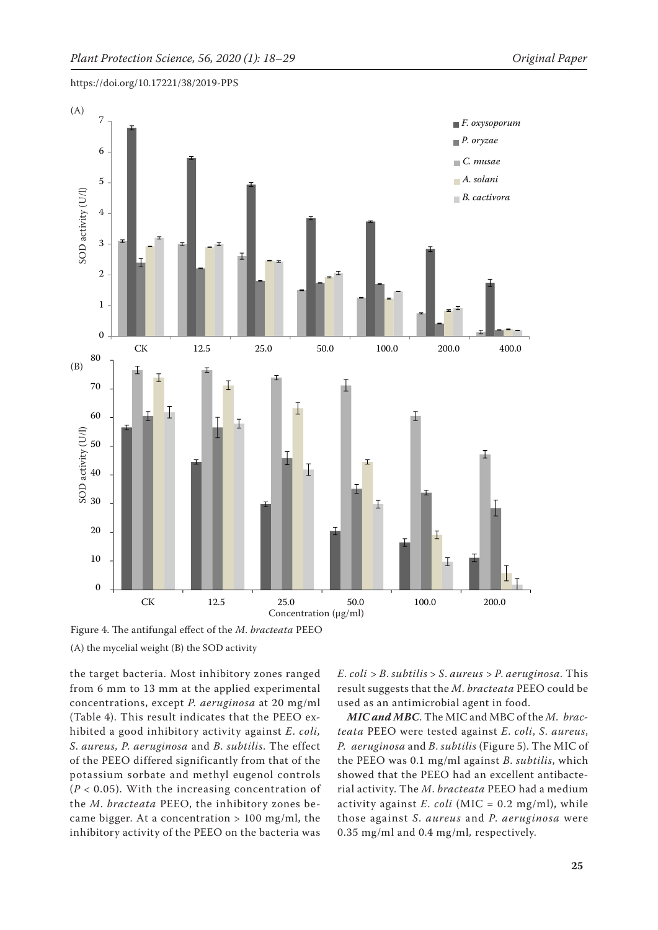



the target bacteria. Most inhibitory zones ranged from 6 mm to 13 mm at the applied experimental concentrations, except *P. aeruginosa* at 20 mg/ml (Table 4). This result indicates that the PEEO exhibited a good inhibitory activity against *E*. *coli, S*. *aureus, P*. *aeruginosa* and *B*. *subtilis*. The effect of the PEEO differed significantly from that of the potassium sorbate and methyl eugenol controls (*P* < 0.05). With the increasing concentration of the *M*. *bracteata* PEEO, the inhibitory zones became bigger. At a concentration  $> 100$  mg/ml, the inhibitory activity of the PEEO on the bacteria was *E*. *coli > B*. *subtilis* > *S*. *aureus > P*. *aeruginosa.* This result suggests that the *M*. *bracteata* PEEO could be used as an antimicrobial agent in food.

*MIC and MBC*. The MIC and MBC of the *M*. *bracteata* PEEO were tested against *E*. *coli*, *S*. *aureus*, *P*. *aeruginosa* and *B*. *subtilis* (Figure 5). The MIC of the PEEO was 0.1 mg/ml against *B*. *subtilis*, which showed that the PEEO had an excellent antibacterial activity. The *M*. *bracteata* PEEO had a medium activity against  $E.$  *coli* (MIC = 0.2 mg/ml), while those against *S*. *aureus* and *P*. *aeruginosa* were 0.35 mg/ml and 0.4 mg/ml*,* respectively.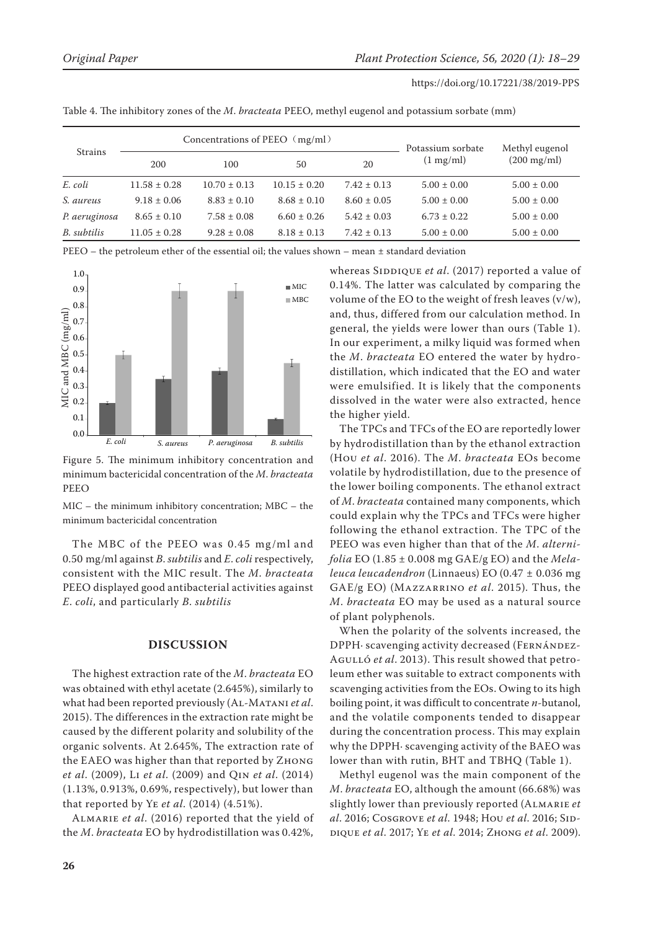| <b>Strains</b> | Concentrations of PEEO (mg/ml) |                  |                  |                 | Potassium sorbate   | Methyl eugenol        |
|----------------|--------------------------------|------------------|------------------|-----------------|---------------------|-----------------------|
|                | 200                            | 100              | 50               | 20              | $(1 \text{ mg/ml})$ | $(200 \text{ mg/ml})$ |
| E. coli        | $11.58 \pm 0.28$               | $10.70 \pm 0.13$ | $10.15 \pm 0.20$ | $7.42 \pm 0.13$ | $5.00 \pm 0.00$     | $5.00 \pm 0.00$       |
| S. aureus      | $9.18 \pm 0.06$                | $8.83 \pm 0.10$  | $8.68 \pm 0.10$  | $8.60 \pm 0.05$ | $5.00 \pm 0.00$     | $5.00 \pm 0.00$       |
| P. aeruginosa  | $8.65 \pm 0.10$                | $7.58 \pm 0.08$  | $6.60 \pm 0.26$  | $5.42 \pm 0.03$ | $6.73 \pm 0.22$     | $5.00 \pm 0.00$       |
| B. subtilis    | $11.05 \pm 0.28$               | $9.28 \pm 0.08$  | $8.18 \pm 0.13$  | $7.42 \pm 0.13$ | $5.00 \pm 0.00$     | $5.00 \pm 0.00$       |

Table 4. The inhibitory zones of the *M*. *bracteata* PEEO, methyl eugenol and potassium sorbate (mm)

PEEO – the petroleum ether of the essential oil; the values shown – mean  $\pm$  standard deviation



Figure 5. The minimum inhibitory concentration and minimum bactericidal concentration of the *M*. *bracteata* PEEO

MIC – the minimum inhibitory concentration; MBC – the minimum bactericidal concentration

The MBC of the PEEO was 0.45 mg/ml and 0.50 mg/ml against *B*. *subtilis* and *E*. *coli* respectively, consistent with the MIC result. The *M*. *bracteata* PEEO displayed good antibacterial activities against *E*. *coli*, and particularly *B*. *subtilis*

# **DISCUSSION**

The highest extraction rate of the *M*. *bracteata* EO was obtained with ethyl acetate (2.645%), similarly to what had been reported previously (Al-Matani *et al*. 2015). The differences in the extraction rate might be caused by the different polarity and solubility of the organic solvents. At 2.645%, The extraction rate of the EAEO was higher than that reported by ZHONG *et al*. (2009), Li *et al*. (2009) and Qin *et al*. (2014) (1.13%, 0.913%, 0.69%, respectively), but lower than that reported by Ye *et al*. (2014) (4.51%).

Almarie *et al*. (2016) reported that the yield of the *M*. *bracteata* EO by hydrodistillation was 0.42%,

whereas SIDDIQUE et al. (2017) reported a value of 0.14%. The latter was calculated by comparing the volume of the EO to the weight of fresh leaves (v/w), and, thus, differed from our calculation method. In general, the yields were lower than ours (Table 1). In our experiment, a milky liquid was formed when the *M*. *bracteata* EO entered the water by hydrodistillation, which indicated that the EO and water were emulsified. It is likely that the components dissolved in the water were also extracted, hence the higher yield.

The TPCs and TFCs of the EO are reportedly lower by hydrodistillation than by the ethanol extraction (Hou *et al*. 2016). The *M*. *bracteata* EOs become volatile by hydrodistillation, due to the presence of the lower boiling components. The ethanol extract of *M*. *bracteata* contained many components, which could explain why the TPCs and TFCs were higher following the ethanol extraction. The TPC of the PEEO was even higher than that of the *M*. *alternifolia* EO (1.85 ± 0.008 mg GAE/g EO) and the *Melaleuca leucadendron* (Linnaeus) EO (0.47 ± 0.036 mg GAE/g EO) (Mazzarrino *et al*. 2015). Thus, the *M*. *bracteata* EO may be used as a natural source of plant polyphenols.

When the polarity of the solvents increased, the DPPH· scavenging activity decreased (FERNÁNDEZ-Agulló *et al*. 2013). This result showed that petroleum ether was suitable to extract components with scavenging activities from the EOs. Owing to its high boiling point, it was difficult to concentrate *n*-butanol, and the volatile components tended to disappear during the concentration process. This may explain why the DPPH· scavenging activity of the BAEO was lower than with rutin, BHT and TBHQ (Table 1).

Methyl eugenol was the main component of the *M*. *bracteata* EO, although the amount (66.68%) was slightly lower than previously reported (Almarie *et al*. 2016; Cosgrove *et al*. 1948; Hou *et al*. 2016; Siddique *et al*. 2017; Ye *et al*. 2014; Zhong *et al*. 2009).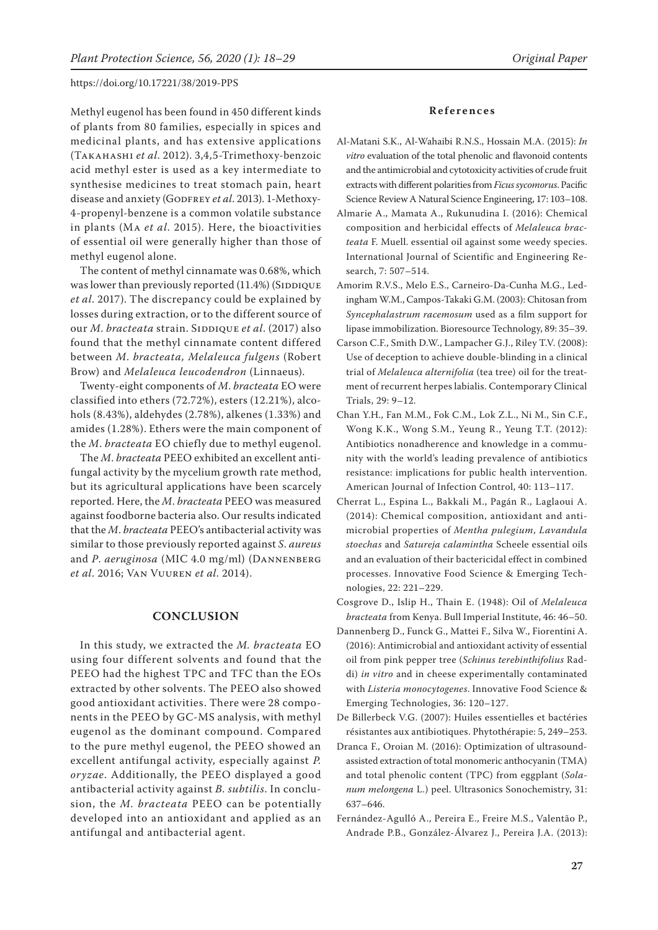Methyl eugenol has been found in 450 different kinds of plants from 80 families, especially in spices and medicinal plants, and has extensive applications (Takahashi *et al*. 2012). 3,4,5-Trimethoxy-benzoic acid methyl ester is used as a key intermediate to synthesise medicines to treat stomach pain, heart disease and anxiety (GODFREY *et al.* 2013). 1-Methoxy-4-propenyl-benzene is a common volatile substance in plants (Ma *et al*. 2015). Here, the bioactivities of essential oil were generally higher than those of methyl eugenol alone.

The content of methyl cinnamate was 0.68%, which was lower than previously reported  $(11.4%)$  (SIDDIQUE *et al*. 2017). The discrepancy could be explained by losses during extraction, or to the different source of our *M. bracteata* strain. SIDDIQUE *et al.* (2017) also found that the methyl cinnamate content differed between *M*. *bracteata, Melaleuca fulgens* (Robert Brow) and *Melaleuca leucodendron* (Linnaeus).

Twenty-eight components of *M*. *bracteata* EO were classified into ethers (72.72%), esters (12.21%), alcohols (8.43%), aldehydes (2.78%), alkenes (1.33%) and amides (1.28%). Ethers were the main component of the *M*. *bracteata* EO chiefly due to methyl eugenol.

The *M*. *bracteata* PEEO exhibited an excellent antifungal activity by the mycelium growth rate method, but its agricultural applications have been scarcely reported. Here, the *M*. *bracteata* PEEO was measured against foodborne bacteria also. Our results indicated that the *M*. *bracteata* PEEO's antibacterial activity was similar to those previously reported against *S*. *aureus* and *P*. *aeruginosa* (MIC 4.0 mg/ml) (Dannenberg *et al*. 2016; Van Vuuren *et al*. 2014).

# **CONCLUSION**

In this study, we extracted the *M. bracteata* EO using four different solvents and found that the PEEO had the highest TPC and TFC than the EOs extracted by other solvents. The PEEO also showed good antioxidant activities. There were 28 components in the PEEO by GC-MS analysis, with methyl eugenol as the dominant compound. Compared to the pure methyl eugenol, the PEEO showed an excellent antifungal activity, especially against *P. oryzae*. Additionally, the PEEO displayed a good antibacterial activity against *B. subtilis*. In conclusion, the *M. bracteata* PEEO can be potentially developed into an antioxidant and applied as an antifungal and antibacterial agent.

#### **References**

- Al-Matani S.K., Al-Wahaibi R.N.S., Hossain M.A. (2015): *In vitro* evaluation of the total phenolic and flavonoid contents and the antimicrobial and cytotoxicity activities of crude fruit extracts with different polarities from *Ficussycomorus*. Pacific Science Review A Natural Science Engineering, 17: 103–108.
- Almarie A., Mamata A., Rukunudina I. (2016): Chemical composition and herbicidal effects of *Melaleuca bracteata* F. Muell. essential oil against some weedy species. International Journal of Scientific and Engineering Research, 7: 507–514.
- Amorim R.V.S., Melo E.S., Carneiro-Da-Cunha M.G., Ledingham W.M., Campos-Takaki G.M. (2003): Chitosan from *Syncephalastrum racemosum* used as a film support for lipase immobilization. Bioresource Technology, 89: 35–39.
- Carson C.F., Smith D.W., Lampacher G.J., Riley T.V. (2008): Use of deception to achieve double-blinding in a clinical trial of *Melaleuca alternifolia* (tea tree) oil for the treatment of recurrent herpes labialis. Contemporary Clinical Trials, 29: 9–12.
- Chan Y.H., Fan M.M., Fok C.M., Lok Z.L., Ni M., Sin C.F., Wong K.K., Wong S.M., Yeung R., Yeung T.T. (2012): Antibiotics nonadherence and knowledge in a community with the world's leading prevalence of antibiotics resistance: implications for public health intervention. American Journal of Infection Control, 40: 113–117.
- Cherrat L., Espina L., Bakkali M., Pagán R., Laglaoui A. (2014): Chemical composition, antioxidant and antimicrobial properties of *Mentha pulegium*, *Lavandula stoechas* and *Satureja calamintha* Scheele essential oils and an evaluation of their bactericidal effect in combined processes. Innovative Food Science & Emerging Technologies, 22: 221–229.
- Cosgrove D., Islip H., Thain E. (1948): Oil of *Melaleuca bracteata* from Kenya. Bull Imperial Institute, 46: 46–50.
- Dannenberg D., Funck G., Mattei F., Silva W., Fiorentini A. (2016): Antimicrobial and antioxidant activity of essential oil from pink pepper tree (*Schinus terebinthifolius* Raddi) *in vitro* and in cheese experimentally contaminated with *Listeria monocytogenes*. Innovative Food Science & Emerging Technologies, 36: 120–127.
- De Billerbeck V.G. (2007): Huiles essentielles et bactéries résistantes aux antibiotiques. Phytothérapie: 5, 249–253.
- Dranca F., Oroian M. (2016): Optimization of ultrasoundassisted extraction of total monomeric anthocyanin (TMA) and total phenolic content (TPC) from eggplant (*Solanum melongena* L.) peel. Ultrasonics Sonochemistry, 31: 637–646.
- Fernández-Agulló A., Pereira E., Freire M.S., Valentão P., Andrade P.B., González-Álvarez J., Pereira J.A. (2013):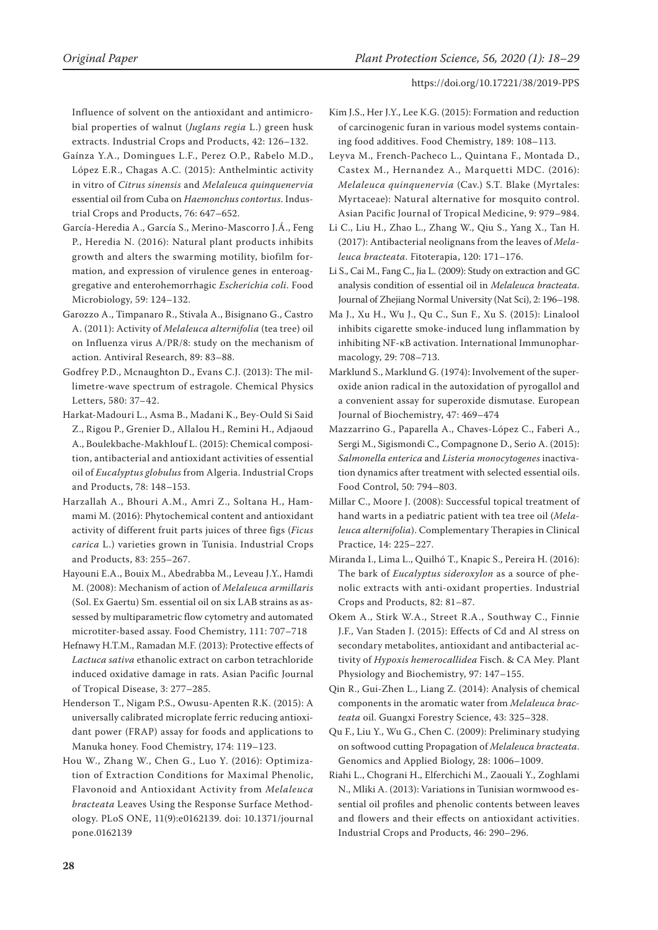Influence of solvent on the antioxidant and antimicrobial properties of walnut (*Juglans regia* L.) green husk extracts. Industrial Crops and Products, 42: 126–132.

- Gaínza Y.A., Domingues L.F., Perez O.P., Rabelo M.D., López E.R., Chagas A.C. (2015): Anthelmintic activity in vitro of *Citrus sinensis* and *Melaleuca quinquenervia* essential oil from Cuba on *Haemonchus contortus*. Industrial Crops and Products, 76: 647–652.
- García-Heredia A., García S., Merino-Mascorro J.Á., Feng P., Heredia N. (2016): Natural plant products inhibits growth and alters the swarming motility, biofilm formation, and expression of virulence genes in enteroaggregative and enterohemorrhagic *Escherichia coli*. Food Microbiology, 59: 124–132.
- Garozzo A., Timpanaro R., Stivala A., Bisignano G., Castro A. (2011): Activity of *Melaleuca alternifolia* (tea tree) oil on Influenza virus A/PR/8: study on the mechanism of action. Antiviral Research, 89: 83–88.
- Godfrey P.D., Mcnaughton D., Evans C.J. (2013): The millimetre-wave spectrum of estragole. Chemical Physics Letters, 580: 37–42.
- Harkat-Madouri L., Asma B., Madani K., Bey-Ould Si Said Z., Rigou P., Grenier D., Allalou H., Remini H., Adjaoud A., Boulekbache-Makhlouf L. (2015): Chemical composition, antibacterial and antioxidant activities of essential oil of *Eucalyptus globulus* from Algeria. Industrial Crops and Products, 78: 148–153.
- Harzallah A., Bhouri A.M., Amri Z., Soltana H., Hammami M. (2016): Phytochemical content and antioxidant activity of different fruit parts juices of three figs (*Ficus carica* L.) varieties grown in Tunisia. Industrial Crops and Products, 83: 255–267.
- Hayouni E.A., Bouix M., Abedrabba M., Leveau J.Y., Hamdi M. (2008): Mechanism of action of *Melaleuca armillaris* (Sol. Ex Gaertu) Sm. essential oil on six LAB strains as assessed by multiparametric flow cytometry and automated microtiter-based assay. Food Chemistry, 111: 707–718
- Hefnawy H.T.M., Ramadan M.F. (2013): Protective effects of *Lactuca sativa* ethanolic extract on carbon tetrachloride induced oxidative damage in rats. Asian Pacific Journal of Tropical Disease, 3: 277–285.
- Henderson T., Nigam P.S., Owusu-Apenten R.K. (2015): A universally calibrated microplate ferric reducing antioxidant power (FRAP) assay for foods and applications to Manuka honey. Food Chemistry, 174: 119–123.
- Hou W., Zhang W., Chen G., Luo Y. (2016): Optimization of Extraction Conditions for Maximal Phenolic, Flavonoid and Antioxidant Activity from *Melaleuca bracteata* Leaves Using the Response Surface Methodology. PLoS ONE, 11(9):e0162139. doi: 10.1371/journal pone.0162139
- Kim J.S., Her J.Y., Lee K.G. (2015): Formation and reduction of carcinogenic furan in various model systems containing food additives. Food Chemistry, 189: 108–113.
- Leyva M., French-Pacheco L., Quintana F., Montada D., Castex M., Hernandez A., Marquetti MDC. (2016): *Melaleuca quinquenervia* (Cav.) S.T. Blake (Myrtales: Myrtaceae): Natural alternative for mosquito control. Asian Pacific Journal of Tropical Medicine, 9: 979–984.
- Li C., Liu H., Zhao L., Zhang W., Qiu S., Yang X., Tan H. (2017): Antibacterial neolignans from the leaves of *Melaleuca bracteata*. Fitoterapia, 120: 171–176.
- Li S., Cai M., Fang C., Jia L. (2009): Study on extraction and GC analysis condition of essential oil in *Melaleuca bracteata*. Journal of Zhejiang Normal University (Nat Sci), 2: 196–198.
- Ma J., Xu H., Wu J., Qu C., Sun F., Xu S. (2015): Linalool inhibits cigarette smoke-induced lung inflammation by inhibiting NF-κB activation. International Immunopharmacology, 29: 708–713.
- Marklund S., Marklund G. (1974): Involvement of the superoxide anion radical in the autoxidation of pyrogallol and a convenient assay for superoxide dismutase. European Journal of Biochemistry, 47: 469–474
- Mazzarrino G., Paparella A., Chaves-López C., Faberi A., Sergi M., Sigismondi C., Compagnone D., Serio A. (2015): *Salmonella enterica* and *Listeria monocytogenes* inactivation dynamics after treatment with selected essential oils. Food Control, 50: 794–803.
- Millar C., Moore J. (2008): Successful topical treatment of hand warts in a pediatric patient with tea tree oil (*Melaleuca alternifolia*). Complementary Therapies in Clinical Practice, 14: 225–227.
- Miranda I., Lima L., Quilhó T., Knapic S., Pereira H. (2016): The bark of *Eucalyptus sideroxylon* as a source of phenolic extracts with anti-oxidant properties. Industrial Crops and Products, 82: 81–87.
- Okem A., Stirk W.A., Street R.A., Southway C., Finnie J.F., Van Staden J. (2015): Effects of Cd and Al stress on secondary metabolites, antioxidant and antibacterial activity of *Hypoxis hemerocallidea* Fisch. & CA Mey. Plant Physiology and Biochemistry, 97: 147–155.
- Qin R., Gui-Zhen L., Liang Z. (2014): Analysis of chemical components in the aromatic water from *Melaleuca bracteata* oil. Guangxi Forestry Science, 43: 325–328.
- Qu F., Liu Y., Wu G., Chen C. (2009): Preliminary studying on softwood cutting Propagation of *Melaleuca bracteata*. Genomics and Applied Biology, 28: 1006–1009.
- Riahi L., Chograni H., Elferchichi M., Zaouali Y., Zoghlami N., Mliki A. (2013): Variations in Tunisian wormwood essential oil profiles and phenolic contents between leaves and flowers and their effects on antioxidant activities. Industrial Crops and Products, 46: 290–296.